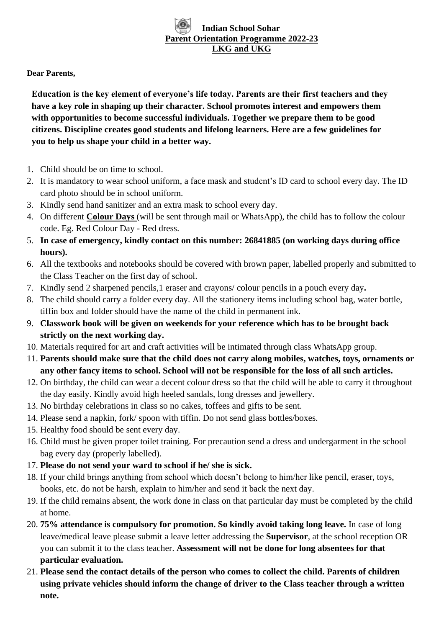# **Indian School Sohar Parent Orientation Programme 2022-23 LKG and UKG**

#### **Dear Parents,**

**Education is the key element of everyone's life today. Parents are their first teachers and they have a key role in shaping up their character. School promotes interest and empowers them with opportunities to become successful individuals. Together we prepare them to be good citizens. Discipline creates good students and lifelong learners. Here are a few guidelines for you to help us shape your child in a better way.**

- 1. Child should be on time to school.
- 2. It is mandatory to wear school uniform, a face mask and student's ID card to school every day. The ID card photo should be in school uniform.
- 3. Kindly send hand sanitizer and an extra mask to school every day.
- 4. On different **Colour Days** (will be sent through mail or WhatsApp), the child has to follow the colour code. Eg. Red Colour Day - Red dress.
- 5. **In case of emergency, kindly contact on this number: 26841885 (on working days during office hours).**
- 6. All the textbooks and notebooks should be covered with brown paper, labelled properly and submitted to the Class Teacher on the first day of school.
- 7. Kindly send 2 sharpened pencils,1 eraser and crayons/ colour pencils in a pouch every day**.**
- 8. The child should carry a folder every day. All the stationery items including school bag, water bottle, tiffin box and folder should have the name of the child in permanent ink.
- 9. **Classwork book will be given on weekends for your reference which has to be brought back strictly on the next working day.**
- 10. Materials required for art and craft activities will be intimated through class WhatsApp group.
- 11. **Parents should make sure that the child does not carry along mobiles, watches, toys, ornaments or any other fancy items to school. School will not be responsible for the loss of all such articles.**
- 12. On birthday, the child can wear a decent colour dress so that the child will be able to carry it throughout the day easily. Kindly avoid high heeled sandals, long dresses and jewellery.
- 13. No birthday celebrations in class so no cakes, toffees and gifts to be sent.
- 14. Please send a napkin, fork/ spoon with tiffin. Do not send glass bottles/boxes.
- 15. Healthy food should be sent every day.
- 16. Child must be given proper toilet training. For precaution send a dress and undergarment in the school bag every day (properly labelled).
- 17. **Please do not send your ward to school if he/ she is sick.**
- 18. If your child brings anything from school which doesn't belong to him/her like pencil, eraser, toys, books, etc. do not be harsh, explain to him/her and send it back the next day.
- 19. If the child remains absent, the work done in class on that particular day must be completed by the child at home.
- 20. **75% attendance is compulsory for promotion. So kindly avoid taking long leave.** In case of long leave/medical leave please submit a leave letter addressing the **Supervisor**, at the school reception OR you can submit it to the class teacher. **Assessment will not be done for long absentees for that particular evaluation.**
- 21. **Please send the contact details of the person who comes to collect the child. Parents of children using private vehicles should inform the change of driver to the Class teacher through a written note.**